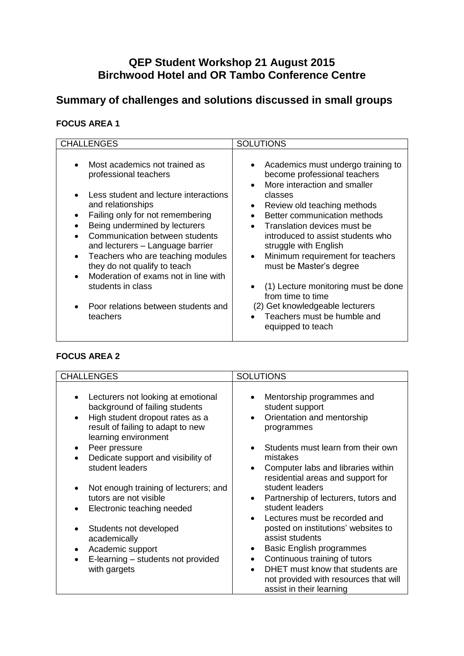# **QEP Student Workshop 21 August 2015 Birchwood Hotel and OR Tambo Conference Centre**

# **Summary of challenges and solutions discussed in small groups**

### **FOCUS AREA 1**

| <b>CHALLENGES</b>                                                                                                                                                                                                                                                                                                                                                                                                                                                 | <b>SOLUTIONS</b>                                                                                                                                                                                                                                                                                                                                                                                                                                                                                                                                                                       |
|-------------------------------------------------------------------------------------------------------------------------------------------------------------------------------------------------------------------------------------------------------------------------------------------------------------------------------------------------------------------------------------------------------------------------------------------------------------------|----------------------------------------------------------------------------------------------------------------------------------------------------------------------------------------------------------------------------------------------------------------------------------------------------------------------------------------------------------------------------------------------------------------------------------------------------------------------------------------------------------------------------------------------------------------------------------------|
| Most academics not trained as<br>professional teachers<br>Less student and lecture interactions<br>and relationships<br>Failing only for not remembering<br>Being undermined by lecturers<br>Communication between students<br>and lecturers - Language barrier<br>Teachers who are teaching modules<br>$\bullet$<br>they do not qualify to teach<br>Moderation of exams not in line with<br>students in class<br>Poor relations between students and<br>teachers | Academics must undergo training to<br>$\bullet$<br>become professional teachers<br>More interaction and smaller<br>$\bullet$<br>classes<br>Review old teaching methods<br>$\bullet$<br>Better communication methods<br>$\bullet$<br>Translation devices must be<br>$\bullet$<br>introduced to assist students who<br>struggle with English<br>Minimum requirement for teachers<br>$\bullet$<br>must be Master's degree<br>(1) Lecture monitoring must be done<br>$\bullet$<br>from time to time<br>(2) Get knowledgeable lecturers<br>Teachers must be humble and<br>equipped to teach |

## **FOCUS AREA 2**

| <b>CHALLENGES</b>                                                                                                                                                                 | <b>SOLUTIONS</b>                                                                                      |
|-----------------------------------------------------------------------------------------------------------------------------------------------------------------------------------|-------------------------------------------------------------------------------------------------------|
| Lecturers not looking at emotional<br>background of failing students<br>High student dropout rates as a<br>$\bullet$<br>result of failing to adapt to new<br>learning environment | Mentorship programmes and<br>student support<br>Orientation and mentorship<br>٠<br>programmes         |
| Peer pressure<br>$\bullet$<br>Dedicate support and visibility of                                                                                                                  | Students must learn from their own<br>mistakes                                                        |
| student leaders                                                                                                                                                                   | Computer labs and libraries within<br>residential areas and support for                               |
| Not enough training of lecturers; and                                                                                                                                             | student leaders                                                                                       |
| tutors are not visible<br>Electronic teaching needed                                                                                                                              | Partnership of lecturers, tutors and<br>student leaders                                               |
| Students not developed                                                                                                                                                            | Lectures must be recorded and<br>posted on institutions' websites to                                  |
| academically                                                                                                                                                                      | assist students<br><b>Basic English programmes</b><br>٠                                               |
| Academic support<br>٠<br>E-learning – students not provided<br>$\bullet$                                                                                                          | Continuous training of tutors<br>$\bullet$                                                            |
| with gargets                                                                                                                                                                      | DHET must know that students are<br>not provided with resources that will<br>assist in their learning |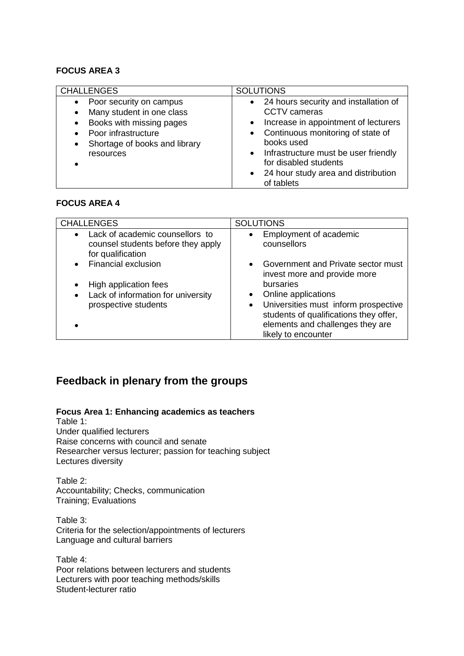#### **FOCUS AREA 3**

| <b>CHALLENGES</b>                                                                                                                                                                            | <b>SOLUTIONS</b>                                                                                                                                                                                                                                                                                                         |
|----------------------------------------------------------------------------------------------------------------------------------------------------------------------------------------------|--------------------------------------------------------------------------------------------------------------------------------------------------------------------------------------------------------------------------------------------------------------------------------------------------------------------------|
| Poor security on campus<br>Many student in one class<br>$\bullet$<br>Books with missing pages<br>$\bullet$<br>Poor infrastructure<br>Shortage of books and library<br>$\bullet$<br>resources | • 24 hours security and installation of<br><b>CCTV</b> cameras<br>Increase in appointment of lecturers<br>$\bullet$<br>Continuous monitoring of state of<br>$\bullet$<br>books used<br>Infrastructure must be user friendly<br>$\bullet$<br>for disabled students<br>• 24 hour study area and distribution<br>of tablets |

### **FOCUS AREA 4**

| <b>CHALLENGES</b>                                                                                       | <b>SOLUTIONS</b>                                                   |
|---------------------------------------------------------------------------------------------------------|--------------------------------------------------------------------|
| Lack of academic counsellors to<br>$\bullet$<br>counsel students before they apply<br>for qualification | Employment of academic<br>$\bullet$<br>counsellors                 |
| <b>Financial exclusion</b><br>$\bullet$                                                                 | Government and Private sector must<br>invest more and provide more |
| High application fees<br>$\bullet$                                                                      | bursaries                                                          |
| Lack of information for university<br>$\bullet$                                                         | Online applications                                                |
| prospective students                                                                                    | Universities must inform prospective<br>$\bullet$                  |
|                                                                                                         | students of qualifications they offer,                             |
|                                                                                                         | elements and challenges they are                                   |
|                                                                                                         | likely to encounter                                                |

## **Feedback in plenary from the groups**

**Focus Area 1: Enhancing academics as teachers**

Table 1: Under qualified lecturers Raise concerns with council and senate Researcher versus lecturer; passion for teaching subject Lectures diversity

Table 2: Accountability; Checks, communication Training; Evaluations

Table 3: Criteria for the selection/appointments of lecturers Language and cultural barriers

Table 4: Poor relations between lecturers and students Lecturers with poor teaching methods/skills Student-lecturer ratio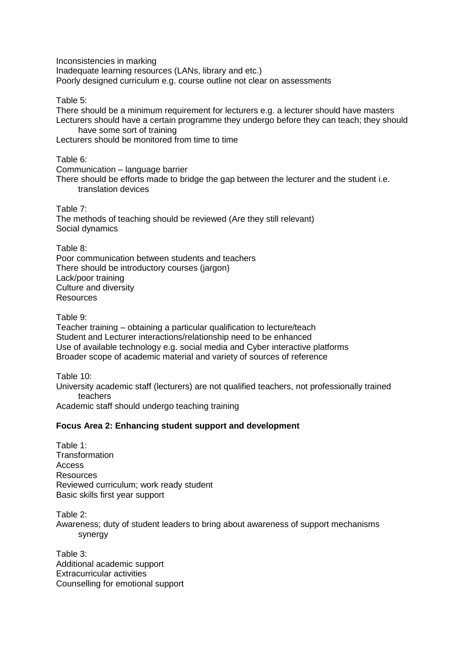Inconsistencies in marking Inadequate learning resources (LANs, library and etc.) Poorly designed curriculum e.g. course outline not clear on assessments

Table 5:

There should be a minimum requirement for lecturers e.g. a lecturer should have masters Lecturers should have a certain programme they undergo before they can teach; they should have some sort of training

Lecturers should be monitored from time to time

Table 6:

Communication – language barrier

There should be efforts made to bridge the gap between the lecturer and the student i.e. translation devices

Table 7: The methods of teaching should be reviewed (Are they still relevant) Social dynamics

Table 8:

Poor communication between students and teachers There should be introductory courses (jargon) Lack/poor training Culture and diversity Resources

Table 9:

Teacher training – obtaining a particular qualification to lecture/teach Student and Lecturer interactions/relationship need to be enhanced Use of available technology e.g. social media and Cyber interactive platforms Broader scope of academic material and variety of sources of reference

Table 10:

University academic staff (lecturers) are not qualified teachers, not professionally trained teachers

Academic staff should undergo teaching training

#### **Focus Area 2: Enhancing student support and development**

Table 1: **Transformation** Access Resources Reviewed curriculum; work ready student Basic skills first year support

Table 2: Awareness; duty of student leaders to bring about awareness of support mechanisms synergy

Table 3: Additional academic support Extracurricular activities Counselling for emotional support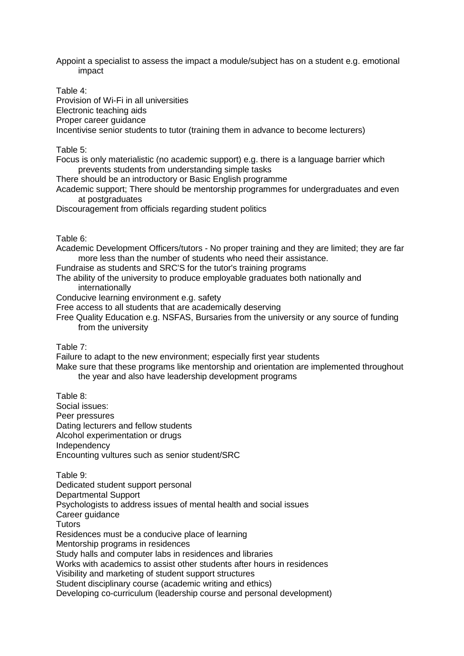Appoint a specialist to assess the impact a module/subject has on a student e.g. emotional impact

Table 4:

Provision of Wi-Fi in all universities Electronic teaching aids Proper career guidance Incentivise senior students to tutor (training them in advance to become lecturers)

Table 5:

Focus is only materialistic (no academic support) e.g. there is a language barrier which prevents students from understanding simple tasks

There should be an introductory or Basic English programme

Academic support; There should be mentorship programmes for undergraduates and even at postgraduates

Discouragement from officials regarding student politics

Table 6:

Academic Development Officers/tutors - No proper training and they are limited; they are far more less than the number of students who need their assistance.

Fundraise as students and SRC'S for the tutor's training programs

The ability of the university to produce employable graduates both nationally and internationally

Conducive learning environment e.g. safety

Free access to all students that are academically deserving

Free Quality Education e.g. NSFAS, Bursaries from the university or any source of funding from the university

Table 7:

Failure to adapt to the new environment; especially first year students

Make sure that these programs like mentorship and orientation are implemented throughout the year and also have leadership development programs

Table 8: Social issues: Peer pressures Dating lecturers and fellow students Alcohol experimentation or drugs Independency Encounting vultures such as senior student/SRC

Table 9: Dedicated student support personal Departmental Support Psychologists to address issues of mental health and social issues Career guidance **Tutors** Residences must be a conducive place of learning Mentorship programs in residences Study halls and computer labs in residences and libraries Works with academics to assist other students after hours in residences Visibility and marketing of student support structures Student disciplinary course (academic writing and ethics) Developing co-curriculum (leadership course and personal development)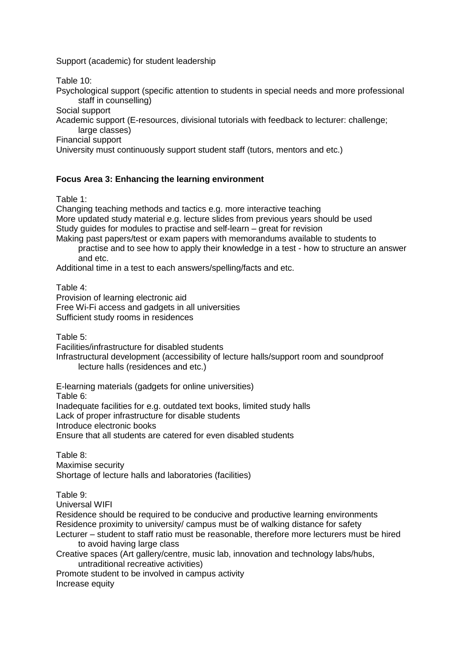Support (academic) for student leadership

Table 10:

Psychological support (specific attention to students in special needs and more professional staff in counselling)

Social support

Academic support (E-resources, divisional tutorials with feedback to lecturer: challenge; large classes)

Financial support

University must continuously support student staff (tutors, mentors and etc.)

#### **Focus Area 3: Enhancing the learning environment**

Table 1:

Changing teaching methods and tactics e.g. more interactive teaching More updated study material e.g. lecture slides from previous years should be used Study guides for modules to practise and self-learn – great for revision Making past papers/test or exam papers with memorandums available to students to

practise and to see how to apply their knowledge in a test - how to structure an answer and etc.

Additional time in a test to each answers/spelling/facts and etc.

Table 4: Provision of learning electronic aid Free Wi-Fi access and gadgets in all universities Sufficient study rooms in residences

Table 5:

Facilities/infrastructure for disabled students

Infrastructural development (accessibility of lecture halls/support room and soundproof lecture halls (residences and etc.)

E-learning materials (gadgets for online universities)

Table 6:

Inadequate facilities for e.g. outdated text books, limited study halls

Lack of proper infrastructure for disable students

Introduce electronic books

Ensure that all students are catered for even disabled students

Table 8: Maximise security Shortage of lecture halls and laboratories (facilities)

Table 9:

Universal WIFI

Residence should be required to be conducive and productive learning environments Residence proximity to university/ campus must be of walking distance for safety

Lecturer – student to staff ratio must be reasonable, therefore more lecturers must be hired to avoid having large class

Creative spaces (Art gallery/centre, music lab, innovation and technology labs/hubs, untraditional recreative activities)

Promote student to be involved in campus activity Increase equity